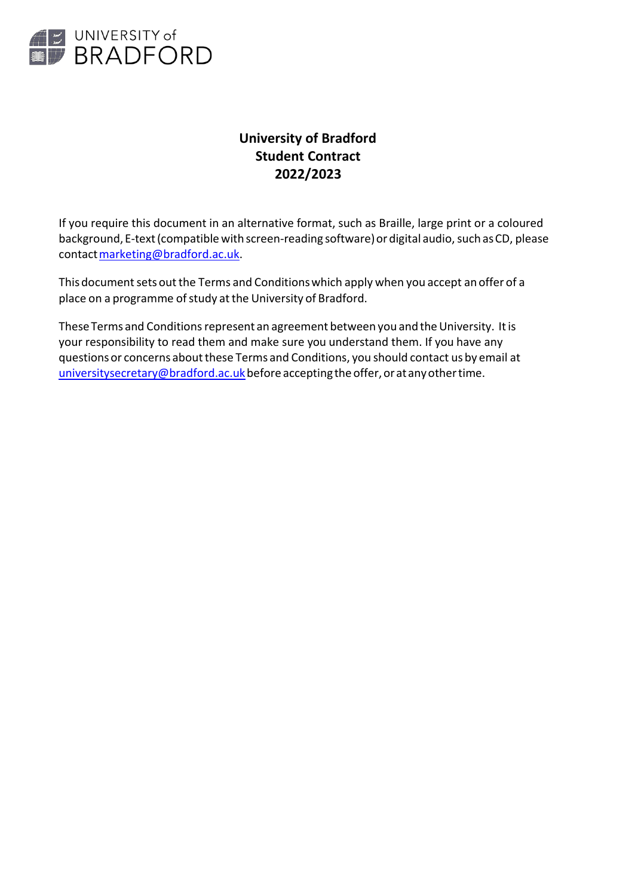

# **University of Bradford Student Contract 2022/2023**

If you require this document in an alternative format, such as Braille, large print or a coloured background, E-text (compatible with screen-reading software) or digital audio, such as CD, please contact marketing@bradford.ac.uk.

This document sets out the Terms and Conditions which apply when you accept an offer of a place on a programme of study at the University of Bradford.

These Terms and Conditions represent an agreement between you and the University. It is your responsibility to read them and make sure you understand them. If you have any questions or concerns about these Terms and Conditions, you should contact us by email at  $university secretary@bradford.ac.uk$  before accepting the offer, or at any other time.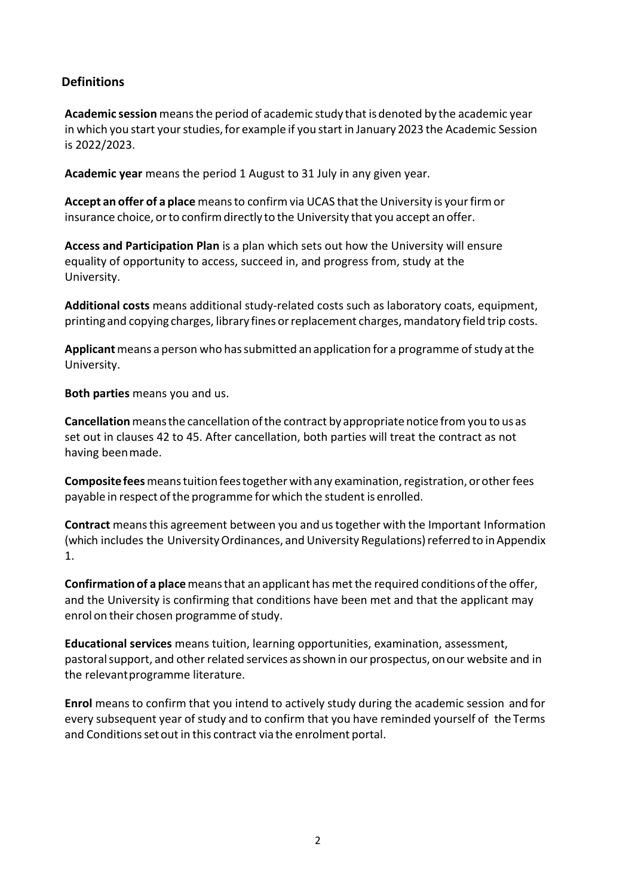# **Definitions**

**Academic session** meansthe period of academic study that isdenoted by the academic year in which you start your studies, for example if you start in January 2023 the Academic Session is 2022/2023.

**Academic year** means the period 1 August to 31 July in any given year.

Accept an offer of a place means to confirm via UCAS that the University is your firm or insurance choice, or to confirm directly to the University that you accept an offer.

**Access and Participation Plan** is a plan which sets out how the University will ensure equality of opportunity to access, succeed in, and progress from, study at the University.

**Additional costs** means additional study-related costs such as laboratory coats, equipment, printing and copying charges, library fines orreplacement charges,mandatory field trip costs.

**Applicant** means a person who has submitted an application for a programme of study at the University.

**Both parties** means you and us.

**Cancellation**meansthe cancellation ofthe contract by appropriate notice from you to us as set out in clauses 42 to 45. After cancellation, both parties will treat the contract as not having beenmade.

**Compositefees**meanstuitionfeestogetherwithany examination,registration, orotherfees payable in respect of the programme for which the student is enrolled.

**Contract** meansthis agreement between you and ustogether with the Important Information (which includes the University Ordinances, and University Regulations) referred to in Appendix 1.

**Confirmation of a place** means that an applicant has met the required conditions of the offer, and the University is confirming that conditions have been met and that the applicant may enrol on their chosen programme of study.

**Educational services** means tuition, learning opportunities, examination, assessment, pastoral support, and other related services as shown in our prospectus, on our website and in the relevantprogramme literature.

**Enrol** means to confirm that you intend to actively study during the academic session and for every subsequent year of study and to confirm that you have reminded yourself of the Terms and Conditions set out in this contract via the enrolment portal.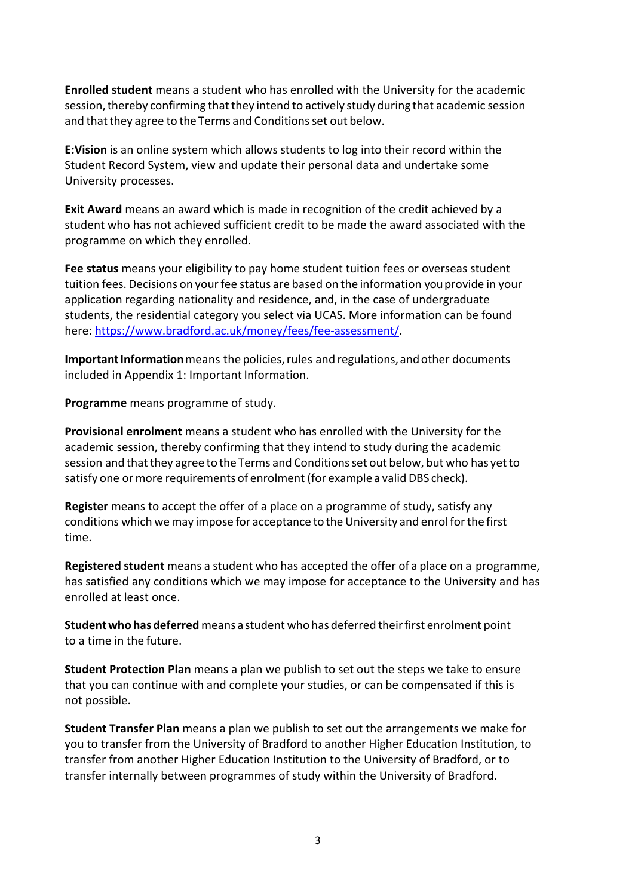**Enrolled student** means a student who has enrolled with the University for the academic session, thereby confirming that they intend to actively study during that academic session and that they agree to the Terms and Conditions set out below.

**E:Vision** is an online system which allows students to log into their record within the Student Record System, view and update their personal data and undertake some University processes.

**Exit Award** means an award which is made in recognition of the credit achieved by a student who has not achieved sufficient credit to be made the award associated with the programme on which they enrolled.

**Fee status** means your eligibility to pay home student tuition fees or overseas student tuition fees. Decisions on your fee status are based on the information you provide in your application regarding nationality and residence, and, in the case of undergraduate students, the residential category you select via UCAS. More information can be found here: [https://www.bradford.ac.uk/money/fees/fee-assessment/.](https://www.bradford.ac.uk/money/fees/fee-assessment/)

**Important Information** means the policies, rules and regulations, and other documents included in Appendix 1: Important Information.

**Programme** means programme of study.

**Provisional enrolment** means a student who has enrolled with the University for the academic session, thereby confirming that they intend to study during the academic session and that they agree to the Terms and Conditions set out below, but who has yet to satisfy one or more requirements of enrolment (for example a valid DBS check).

**Register** means to accept the offer of a place on a programme of study, satisfy any conditions which wemay impose for acceptance to the University and enrolforthe first time.

**Registered student** means a student who has accepted the offer of a place on a programme, has satisfied any conditions which we may impose for acceptance to the University and has enrolled at least once.

**Studentwho has deferred** means a student who has deferred theirfirst enrolment point to a time in the future.

**Student Protection Plan** means a plan we publish to set out the steps we take to ensure that you can continue with and complete your studies, or can be compensated if this is not possible.

**Student Transfer Plan** means a plan we publish to set out the arrangements we make for you to transfer from the University of Bradford to another Higher Education Institution, to transfer from another Higher Education Institution to the University of Bradford, or to transfer internally between programmes of study within the University of Bradford.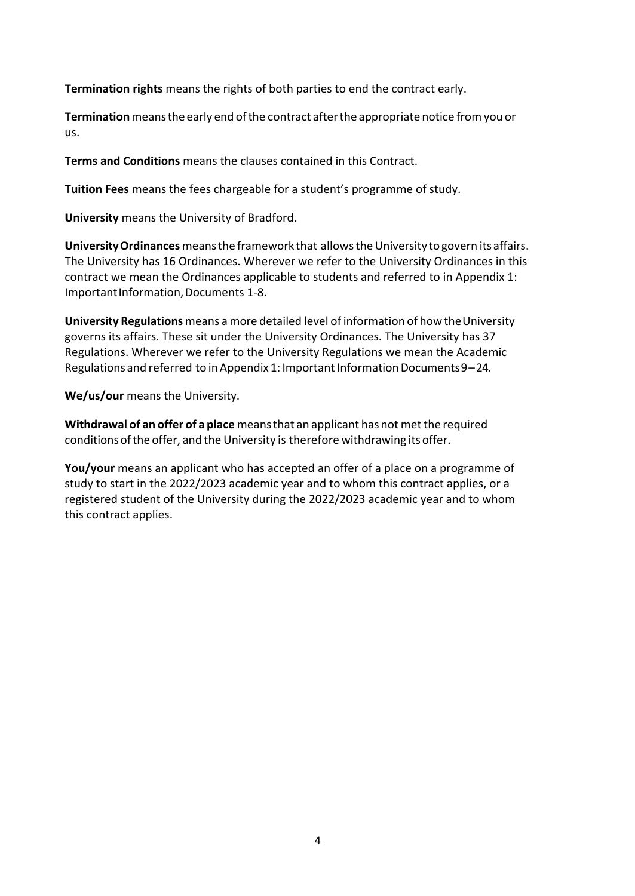**Termination rights** means the rights of both parties to end the contract early.

**Termination**meansthe early end ofthe contract afterthe appropriate notice from you or us.

**Terms and Conditions** means the clauses contained in this Contract.

**Tuition Fees** means the fees chargeable for a student's programme of study.

**University** means the University of Bradford**.**

**University Ordinances** means the framework that allows the University to govern its affairs. The University has 16 Ordinances. Wherever we refer to the University Ordinances in this contract we mean the Ordinances applicable to students and referred to in Appendix 1: ImportantInformation,Documents 1-8.

**University Regulations** means a more detailed level of information of how theUniversity governs its affairs. These sit under the University Ordinances. The University has 37 Regulations. Wherever we refer to the University Regulations we mean the Academic Regulations and referred to in Appendix 1: Important Information Documents  $9-24$ .

**We/us/our** means the University.

**Withdrawal of an offer of a place** meansthat an applicant has not metthe required conditions of the offer, and the University is therefore withdrawing its offer.

**You/your** means an applicant who has accepted an offer of a place on a programme of study to start in the 2022/2023 academic year and to whom this contract applies, or a registered student of the University during the 2022/2023 academic year and to whom this contract applies.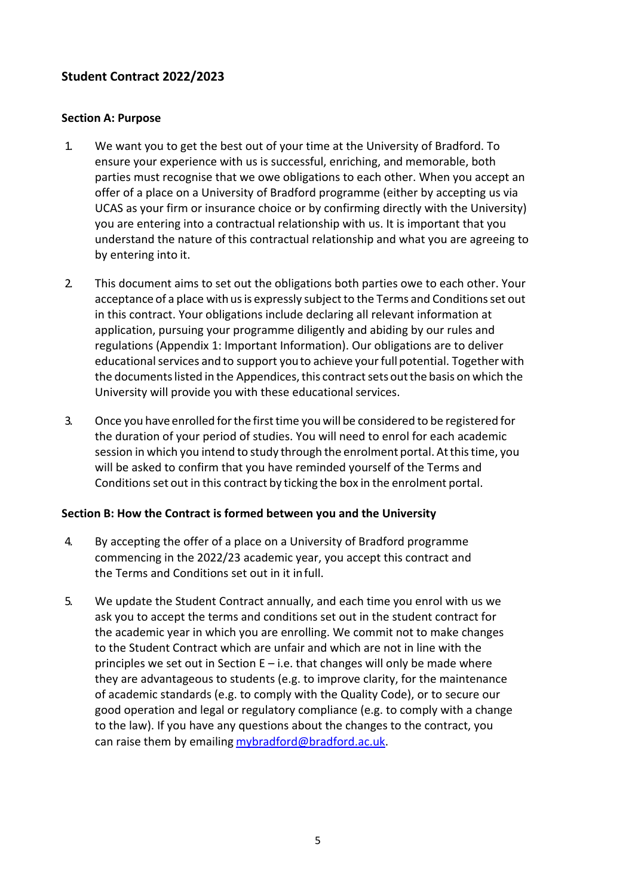# **Student Contract 2022/2023**

#### **Section A: Purpose**

- 1. We want you to get the best out of your time at the University of Bradford. To ensure your experience with us is successful, enriching, and memorable, both parties must recognise that we owe obligations to each other. When you accept an offer of a place on a University of Bradford programme (either by accepting us via UCAS as your firm or insurance choice or by confirming directly with the University) you are entering into a contractual relationship with us. It is important that you understand the nature of this contractual relationship and what you are agreeing to by entering into it.
- 2. This document aims to set out the obligations both parties owe to each other. Your acceptance of a place with us is expressly subject to the Terms and Conditions set out in this contract. Your obligations include declaring all relevant information at application, pursuing your programme diligently and abiding by our rules and regulations (Appendix 1: Important Information). Our obligations are to deliver educational services and to support you to achieve your full potential. Together with the documents listed in the Appendices, this contract sets out the basis on which the University will provide you with these educational services.
- 3. Once you have enrolled for the first time you will be considered to be registered for the duration of your period of studies. You will need to enrol for each academic session in which you intend to study through the enrolment portal. Atthistime, you will be asked to confirm that you have reminded yourself of the Terms and Conditions set out in this contract by ticking the box in the enrolment portal.

#### **Section B: How the Contract is formed between you and the University**

- 4. By accepting the offer of a place on a University of Bradford programme commencing in the 2022/23 academic year, you accept this contract and the Terms and Conditions set out in it infull.
- 5. We update the Student Contract annually, and each time you enrol with us we ask you to accept the terms and conditions set out in the student contract for the academic year in which you are enrolling. We commit not to make changes to the Student Contract which are unfair and which are not in line with the principles we set out in Section E – i.e. that changes will only be made where they are advantageous to students (e.g. to improve clarity, for the maintenance of academic standards (e.g. to comply with the Quality Code), or to secure our good operation and legal or regulatory compliance (e.g. to comply with a change to the law). If you have any questions about the changes to the contract, you can raise them by emailing [mybradford@bradford.ac.uk.](mailto:mybradford@bradford.ac.uk)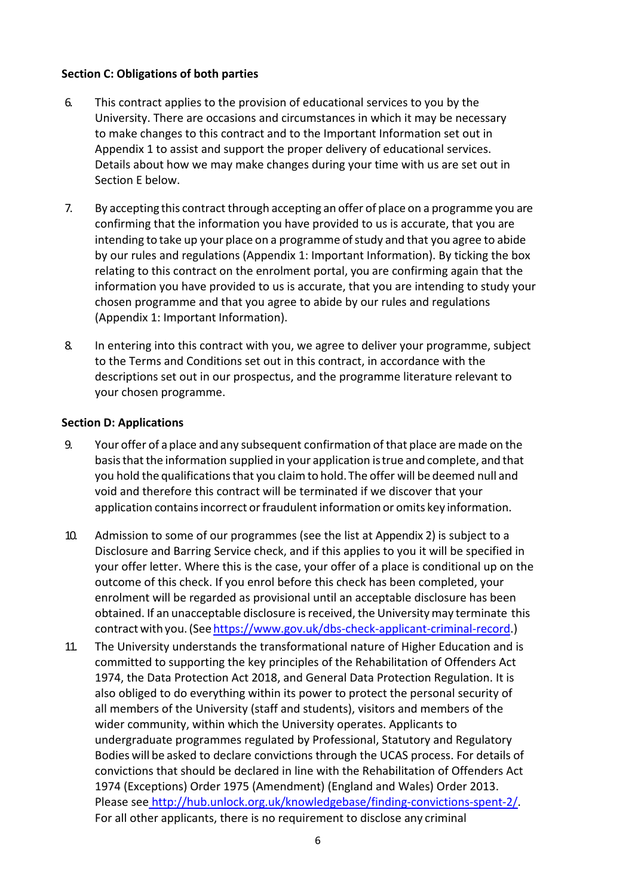# **Section C: Obligations of both parties**

- 6. This contract applies to the provision of educational services to you by the University. There are occasions and circumstances in which it may be necessary to make changes to this contract and to the Important Information set out in Appendix 1 to assist and support the proper delivery of educational services. Details about how we may make changes during your time with us are set out in Section E below.
- 7. By accepting this contract through accepting an offer of place on a programme you are confirming that the information you have provided to us is accurate, that you are intending to take up your place on a programme of study and that you agree to abide by our rules and regulations (Appendix 1: Important Information). By ticking the box relating to this contract on the enrolment portal, you are confirming again that the information you have provided to us is accurate, that you are intending to study your chosen programme and that you agree to abide by our rules and regulations (Appendix 1: Important Information).
- 8. In entering into this contract with you, we agree to deliver your programme, subject to the Terms and Conditions set out in this contract, in accordance with the descriptions set out in our prospectus, and the programme literature relevant to your chosen programme.

# **Section D: Applications**

- 9. Your offer of a place andany subsequent confirmation ofthat place are made on the basis that the information supplied in your application is true and complete, and that you hold the qualifications that you claim to hold. The offer will be deemed null and void and therefore this contract will be terminated if we discover that your application contains incorrect or fraudulent information or omits key information.
- 10. Admission to some of our programmes (see the list at Appendix 2) is subject to a Disclosure and Barring Service check, and if this applies to you it will be specified in your offer letter. Where this is the case, your offer of a place is conditional up on the outcome of this check. If you enrol before this check has been completed, your enrolment will be regarded as provisional until an acceptable disclosure has been obtained. If an unacceptable disclosure is received, the University may terminate this contract with you. (See [https://www.gov.uk/dbs-check-applicant-criminal-record.](https://www.gov.uk/dbs-check-applicant-criminal-record))
- 11. The University understands the transformational nature of Higher Education and is committed to supporting the key principles of the Rehabilitation of Offenders Act 1974, the Data Protection Act 2018, and General Data Protection Regulation. It is also obliged to do everything within its power to protect the personal security of all members of the University (staff and students), visitors and members of the wider community, within which the University operates. Applicants to undergraduate programmes regulated by Professional, Statutory and Regulatory Bodies will be asked to declare convictions through the UCAS process. For details of convictions that should be declared in line with the Rehabilitation of Offenders Act 1974 (Exceptions) Order 1975 (Amendment) (England and Wales) Order 2013. Please see [http://hub.unlock.org.uk/knowledgebase/finding-convictions-spent-2/.](http://hub.unlock.org.uk/knowledgebase/finding-convictions-spent-2/) For all other applicants, there is no requirement to disclose any criminal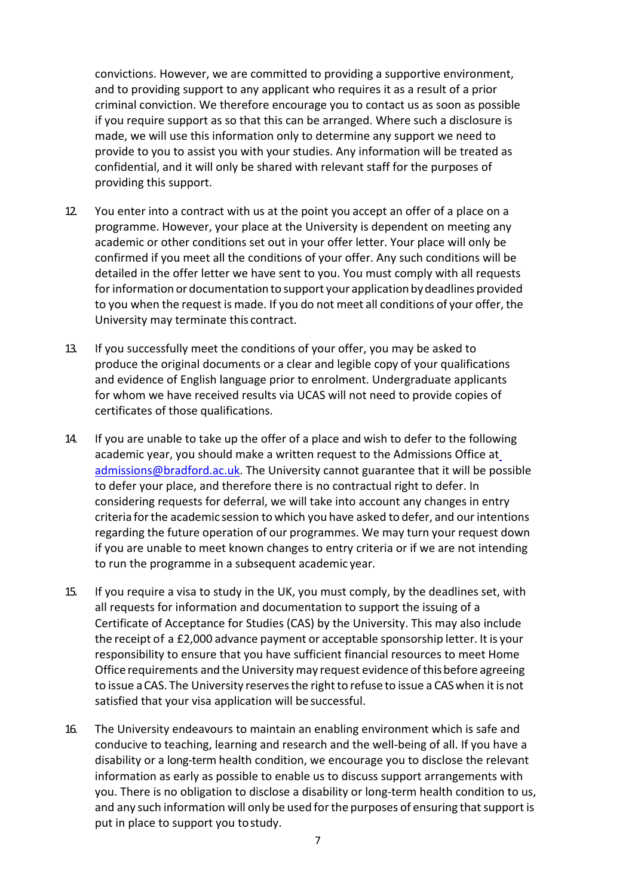convictions. However, we are committed to providing a supportive environment, and to providing support to any applicant who requires it as a result of a prior criminal conviction. We therefore encourage you to contact us as soon as possible if you require support as so that this can be arranged. Where such a disclosure is made, we will use this information only to determine any support we need to provide to you to assist you with your studies. Any information will be treated as confidential, and it will only be shared with relevant staff for the purposes of providing this support.

- 12. [You enter into a contract with](mailto:admissions@bradford.ac.uk) us at the point you accept an offer of a place on a programme. However, your place at the University is dependent on meeting any academic or other conditions set out in your offer letter. Your place will only be confirmed if you meet all the conditions of your offer. Any such conditions will be detailed in the offer letter we have sent to you. You must comply with all requests for information or documentation to support your application by deadlines provided to you when the request is made. If you do not meet all conditions of your offer, the University may terminate this contract.
- 13. If you successfully meet the conditions of your offer, you may be asked to produce the original documents or a clear and legible copy of your qualifications and evidence of English language prior to enrolment. Undergraduate applicants for whom we have received results via UCAS will not need to provide copies of certificates of those qualifications.
- 14. If you are unable to take up the offer of a place and wish to defer to the following academic year, you should make a written request to the Admissions Office at [admissions@bradford.ac.uk. T](mailto:admissions@bradford.ac.uk)he University cannot guarantee that it will be possible to defer your place, and therefore there is no contractual right to defer. In considering requests for deferral, we will take into account any changes in entry criteria for the academic session to which you have asked to defer, and our intentions regarding the future operation of our programmes. We may turn your request down if you are unable to meet known changes to entry criteria or if we are not intending to run the programme in a subsequent academic year.
- 15. If you require a visa to study in the UK, you must comply, by the deadlines set, with all requests for information and documentation to support the issuing of a Certificate of Acceptance for Studies (CAS) by the University. This may also include the receipt of a £2,000 advance payment or acceptable sponsorship letter. It is your responsibility to ensure that you have sufficient financial resources to meet Home Office requirements and the University may request evidence of this before agreeing to issue a CAS. The University reserves the right to refuse to issue a CAS when it is not satisfied that your visa application will be successful.
- 16. The University endeavours to maintain an enabling environment which is safe and conducive to teaching, learning and research and the well-being of all. If you have a disability or a long-term health condition, we encourage you to disclose the relevant information as early as possible to enable us to discuss support arrangements with you. There is no obligation to disclose a disability or long-term health condition to us, and any such information will only be used for the purposes of ensuring that support is put in place to support you tostudy.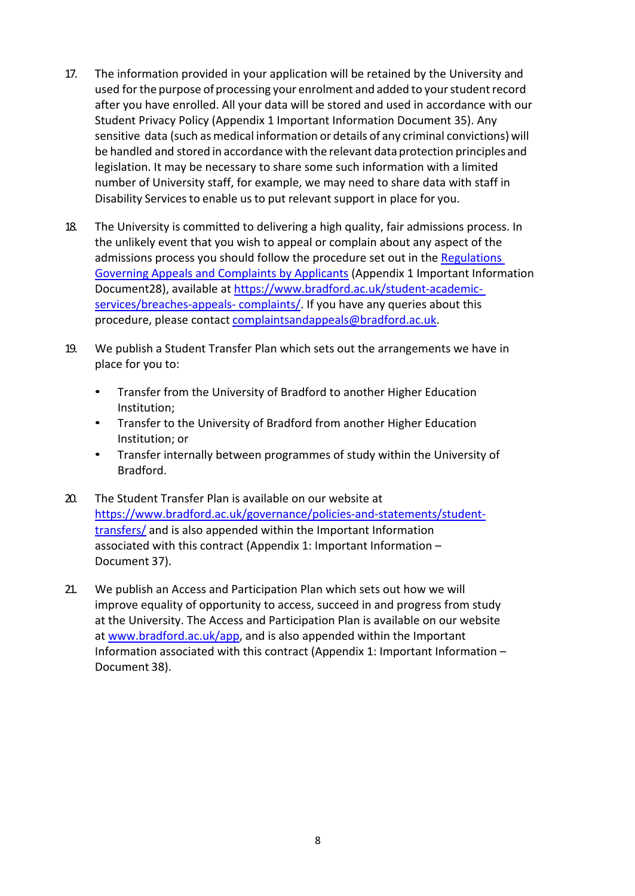- 17. The information provided in your application will be retained by the University and used for the purpose of processing your enrolment and added to your student record after you have enrolled. All your data will be stored and used in accordance with our Student Privacy Policy (Appendix 1 Important Information Document 35). Any sensitive data (such as medical information or details of any criminal convictions) will be handled and stored in accordance with the relevant data protection principles and legislation. It may be necessary to share some such information with a limited number of University staff, for example, we may need to share data with staff in Disability Services to enable us to put relevant support in place for you.
- 18. The University is committed to delivering a high quality, fair admissions process. In the unlikely event that you wish to appeal or complain about any aspect of the admissions process you should follow the procedure set out in the [Regulations](http://www.bradford.ac.uk/student-academic-services/breaches-appeals-complaints/complaints/PBS-appeals-and-Complaints-Procedure-22102015-(3).pdf) [Governing Appeals a](http://www.bradford.ac.uk/student-academic-services/breaches-appeals-complaints/complaints/PBS-appeals-and-Complaints-Procedure-22102015-(3).pdf)nd Complaints by Applicants (Appendix 1 Important Information Document28), available at [https://www.bradford.ac.uk/student-academic](https://www.bradford.ac.uk/student-academic-services/breaches-appeals-complaints/)[services/breaches-appeals-](https://www.bradford.ac.uk/student-academic-services/breaches-appeals-complaints/) [complaints/.](https://www.bradford.ac.uk/student-academic-services/breaches-appeals-complaints/) If you have any queries about this procedure, please contact [complaintsandappeals@bradford.ac.uk.](mailto:complaintsandappeals@bradford.ac.uk)
- 19. We publish a Student Transfer Plan which sets out the arrangements we have in place for you to:
	- Transfer from the University of Bradford to another Higher Education Institution;
	- Transfer to the University of Bradford from another Higher Education Institution; or
	- Transfer internally between programmes of study within the University of Bradford.
- 20. The Student Transfer Plan is available on our website at [https://www.bradford.ac.uk/governance/policies-and-statements/student](https://www.bradford.ac.uk/governance/policies-and-statements/student-transfers/)[transfers/](https://www.bradford.ac.uk/governance/policies-and-statements/student-transfers/) and is also appended within the Important Information associated with this contract (Appendix 1: Important Information – Document 37).
- 21. We publish an Access and Participation Plan which sets out how we will improve equality of opportunity to access, succeed in and progress from study at the University. The Access and Participation Plan is available on our website at [www.bradford.ac.uk/app,](http://www.bradford.ac.uk/app) and is also appended within the Important Information associated with this contract (Appendix 1: Important Information – Document 38).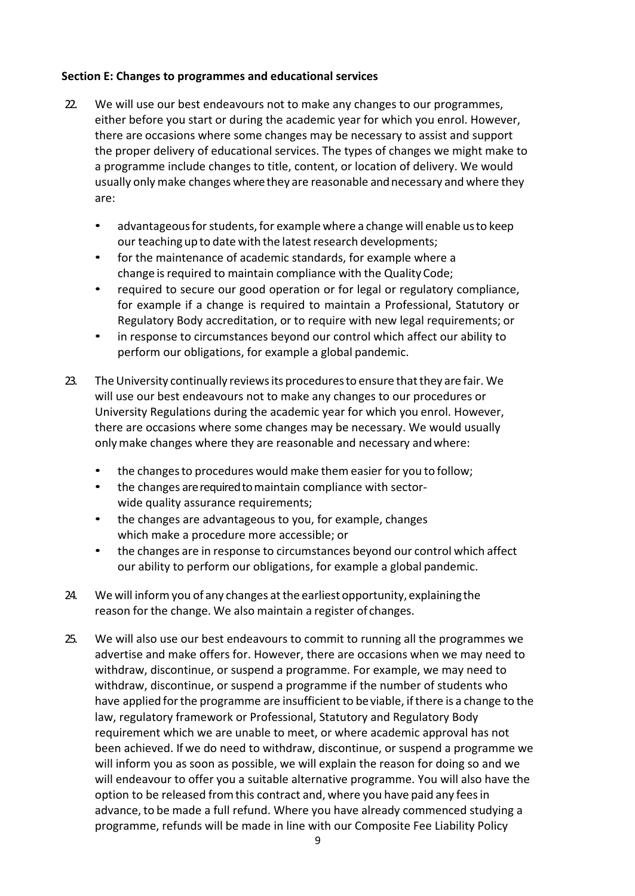# **Section E: Changes to programmes and educational services**

- 22. We will use our best endeavours not to make any changes to our programmes, either before you start or during the academic year for which you enrol. However, there are occasions where some changes may be necessary to assist and support the proper delivery of educational services. The types of changes we might make to a programme include changes to title, content, or location of delivery. We would usually only make changes where they are reasonable and necessary and where they are:
	- advantageous for students, for example where a change will enable us to keep our teaching up to date with the latest research developments;
	- for the maintenance of academic standards, for example where a change is required to maintain compliance with the Quality Code;
	- required to secure our good operation or for legal or regulatory compliance, for example if a change is required to maintain a Professional, Statutory or Regulatory Body accreditation, or to require with new legal requirements; or
	- in response to circumstances beyond our control which affect our ability to perform our obligations, for example a global pandemic.
- 23. The University continually reviews its procedures to ensure that they are fair. We will use our best endeavours not to make any changes to our procedures or University Regulations during the academic year for which you enrol. However, there are occasions where some changes may be necessary. We would usually onlymake changes where they are reasonable and necessary andwhere:
	- the changes to procedures would make them easier for you to follow;
	- the changes are required to maintain compliance with sectorwide quality assurance requirements;
	- the changes are advantageous to you, for example, changes which make a procedure more accessible; or
	- the changes are in response to circumstances beyond our control which affect our ability to perform our obligations, for example a global pandemic.
- 24. We will inform you of any changes at the earliest opportunity, explaining the reason for the change. We also maintain a register of changes.
- 25. We will also use our best endeavours to commit to running all the programmes we advertise and make offers for. However, there are occasions when we may need to withdraw, discontinue, or suspend a programme. For example, we may need to withdraw, discontinue, or suspend a programme if the number of students who have applied for the programme are insufficient to be viable, if there is a change to the law, regulatory framework or Professional, Statutory and Regulatory Body requirement which we are unable to meet, or where academic approval has not been achieved. If we do need to withdraw, discontinue, or suspend a programme we will inform you as soon as possible, we will explain the reason for doing so and we will endeavour to offer you a suitable alternative programme. You will also have the option to be released from this contract and, where you have paid any fees in advance, to be made a full refund. Where you have already commenced studying a programme, refunds will be made in line with our Composite Fee Liability Policy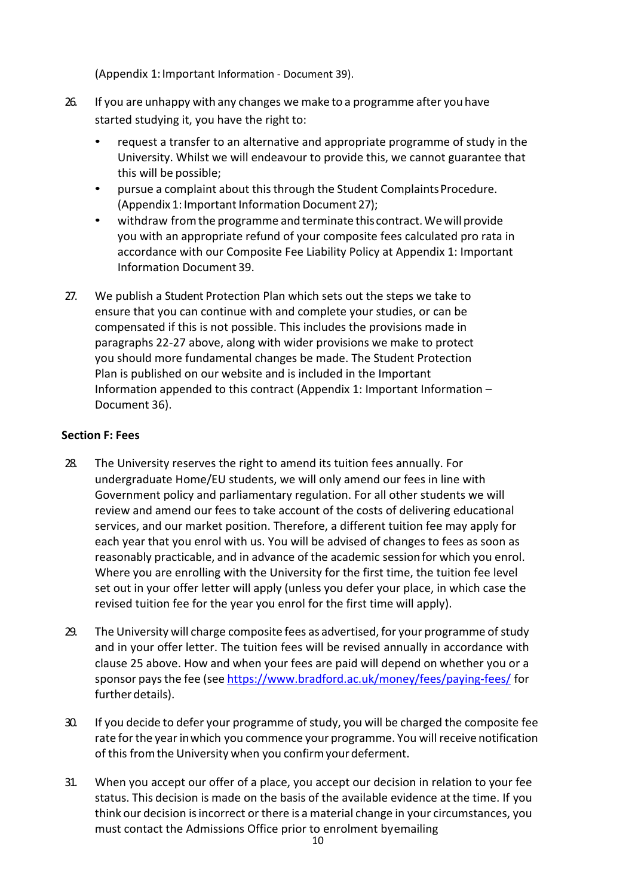(Appendix 1:Important Information - Document 39).

- 26. If you are unhappy with any changes we make to a programme after you have started studying it, you have the right to:
	- request a transfer to an alternative and appropriate programme of study in the University. Whilst we will endeavour to provide this, we cannot guarantee that this will be possible;
	- pursue a complaint about this through the Student Complaints Procedure. (Appendix 1: Important Information Document 27);
	- withdraw fromthe programme and terminate this contract.Wewill provide you with an appropriate refund of your composite fees calculated pro rata in accordance with our Composite Fee Liability Policy at Appendix 1: Important Information Document 39.
- 27. We publish a Student Protection Plan which sets out the steps we take to ensure that you can continue with and complete your studies, or can be compensated if this is not possible. This includes the provisions made in paragraphs 22-27 above, along with wider provisions we make to protect you should more fundamental changes be made. The Student Protection Plan is published on our website and is included in the Important Information appended to this contract (Appendix 1: Important Information – Document 36).

#### **Section F: Fees**

- 28. The University reserves the right to amend its tuition fees annually. For undergraduate Home/EU students, we will only amend our fees in line with Government policy and parliamentary regulation. For all other students we will review and amend our fees to take account of the costs of delivering educational services, and our market position. Therefore, a different tuition fee may apply for each year that you enrol with us. You will be advised of changes to fees as soon as reasonably practicable, and in advance of the academic sessionfor which you enrol. Where you are enrolling with the University for the first time, the tuition fee level set out in your offer letter will apply (unless you defer your place, in which case the revised tuition fee for the year you enrol for the first time will apply).
- 29. The University will charge composite fees as advertised, for your programme of study and in your offer letter. The tuition fees will be revised annually in accordance with clause 25 above. How and when your fees are paid will depend on whether you or a sponsor paysthe fee (see <https://www.bradford.ac.uk/money/fees/paying-fees/> for further details).
- 30. If you decide to defer your programme of study, you will be charged the composite fee rate for the year in which you commence your programme. You will receive notification of this from the University when you confirm your deferment.
- 31. When you accept our offer of a place, you accept our decision in relation to your fee status. This decision is made on the basis of the available evidence atthe time. If you think our decision isincorrect or there is a material change in your circumstances, you must contact the Admissions Office prior to enrolment byemailing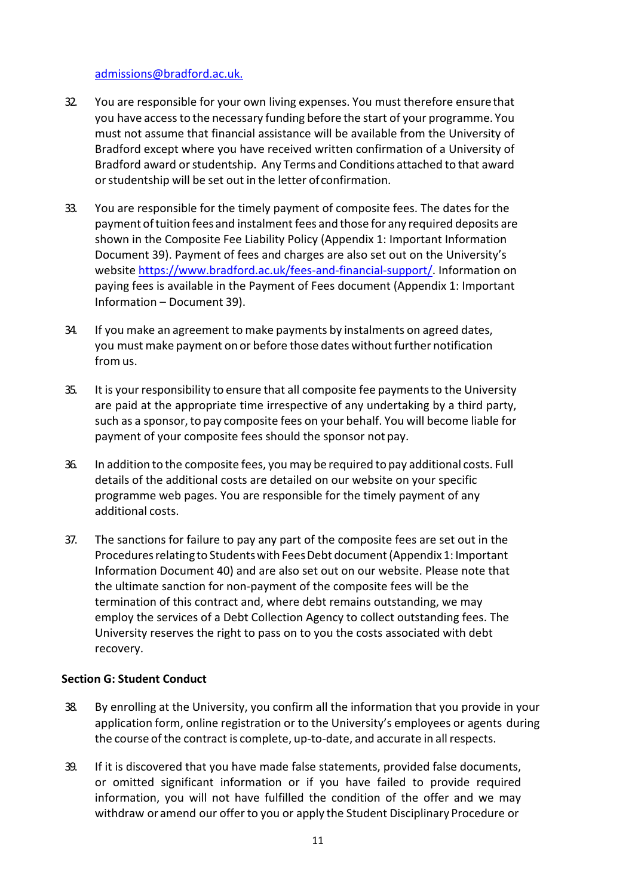#### [admissions@bradford.ac.uk.](mailto:admissions@bradford.ac.uk)

- 32. You are responsible for your own living expenses. You must therefore ensure that you have accessto the necessary funding before the start of your programme. You must not assume that financial assistance will be available from the University of Bradford except where you have received written confirmation of a University of Bradford award orstudentship. Any Terms and Conditions attached to that award or studentship will be set out in the letter of confirmation.
- 33. You are responsible for the timely payment of composite fees. The dates for the payment oftuition fees and instalment fees and those for any required deposits are shown in the Composite Fee Liability Policy (Appendix 1: Important Information Document 39). Payment of fees and charges are also set out on the University's website [https://www.bradford.ac.uk/fees-and-financial-support/.](https://www.bradford.ac.uk/fees-and-financial-support/) Information on paying fees is available in the Payment of Fees document (Appendix 1: Important Information – Document 39).
- 34. If you make an agreement to make payments by instalments on agreed dates, you must make payment on or before those dates without further notification from us.
- 35. It is your responsibility to ensure that all composite fee payments to the University are paid at the appropriate time irrespective of any undertaking by a third party, such as a sponsor,to pay composite fees on your behalf. You will become liable for payment of your composite fees should the sponsor not pay.
- 36. In addition to the composite fees, you may be required to pay additional costs. Full details of the additional costs are detailed on our website on your specific programme web pages. You are responsible for the timely payment of any additional costs.
- 37. The sanctions for failure to pay any part of the composite fees are set out in the Proceduresrelating to Studentswith FeesDebt document(Appendix 1: Important Information Document 40) and are also set out on our website. Please note that the ultimate sanction for non-payment of the composite fees will be the termination of this contract and, where debt remains outstanding, we may employ the services of a Debt Collection Agency to collect outstanding fees. The University reserves the right to pass on to you the costs associated with debt recovery.

#### **Section G: Student Conduct**

- 38. By enrolling at the University, you confirm all the information that you provide in your application form, online registration or to the University's employees or agents during the course of the contract is complete, up-to-date, and accurate in allrespects.
- 39. If it is discovered that you have made false statements, provided false documents, or omitted significant information or if you have failed to provide required information, you will not have fulfilled the condition of the offer and we may withdraw or amend our offer to you or apply the Student Disciplinary Procedure or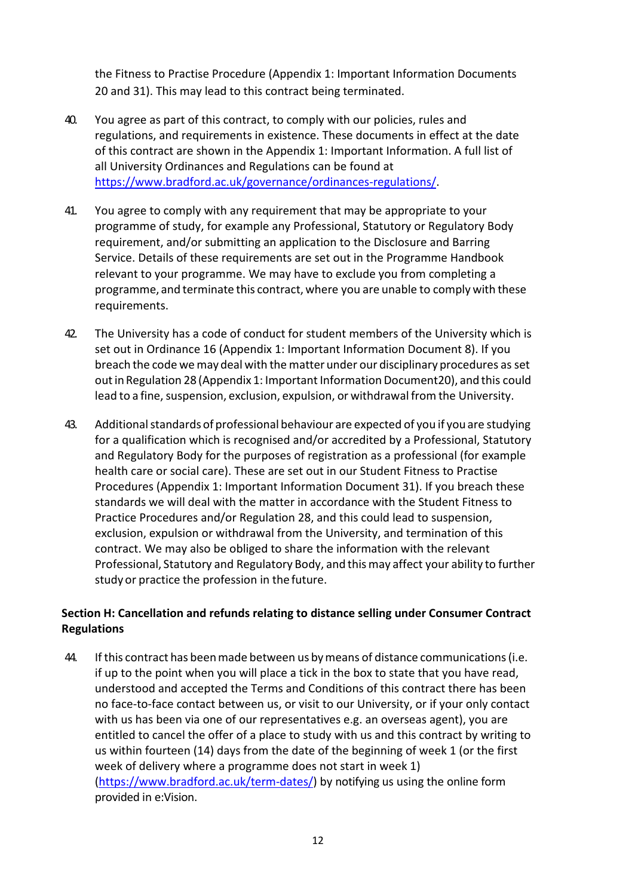the Fitness to Practise Procedure (Appendix 1: Important Information Documents 20 and 31). This may lead to this contract being terminated.

- 40. You agree as part of this contract, to comply with our policies, rules and regulations, and requirements in existence. These documents in effect at the date of this contract are shown in the Appendix 1: Important Information. A full list of all University Ordinances and Regulations can be found at [https://www.bradford.ac.uk/governance/ordinances-regulations/.](https://www.bradford.ac.uk/governance/ordinances-regulations/)
- 41. You agree to comply with any requirement that may be appropriate to your programme of study, for example any Professional, Statutory or Regulatory Body requirement, and/or submitting an application to the Disclosure and Barring Service. Details of these requirements are set out in the Programme Handbook relevant to your programme. We may have to exclude you from completing a programme, and terminate this contract, where you are unable to comply with these requirements.
- 42. The University has a code of conduct for student members of the University which is set out in Ordinance 16 (Appendix 1: Important Information Document 8). If you breach the code we may deal with the matter under our disciplinary procedures as set out in Regulation 28 (Appendix 1: Important Information Document20), and this could lead to a fine, suspension, exclusion, expulsion, or withdrawal from the University.
- 43. Additional standards of professional behaviour are expected of you if you are studying for a qualification which is recognised and/or accredited by a Professional, Statutory and Regulatory Body for the purposes of registration as a professional (for example health care or social care). These are set out in our Student Fitness to Practise Procedures (Appendix 1: Important Information Document 31). If you breach these standards we will deal with the matter in accordance with the Student Fitness to Practice Procedures and/or Regulation 28, and this could lead to suspension, exclusion, expulsion or withdrawal from the University, and termination of this contract. We may also be obliged to share the information with the relevant Professional, Statutory and Regulatory Body, and thismay affect your ability to further study or practice the profession in the future.

# **Section H: Cancellation and refunds relating to distance selling under Consumer Contract Regulations**

44. If this contract has beenmade between us bymeans of distance communications(i.e. if up to the point when you will place a tick in the box to state that you have read, understood and accepted the Terms and Conditions of this contract there has been no face-to-face contact between us, or visit to our University, or if your only contact with us has been via one of our representatives e.g. an overseas agent), you are entitled to cancel the offer of a place to study with us and this contract by writing to us within fourteen (14) days from the date of the beginning of week 1 (or the first week of delivery where a programme does not start in week 1) [\(https://www.bradford.ac.uk/term-dates/\)](https://www.bradford.ac.uk/term-dates/) by notifying us using the online form provided in e:Vision.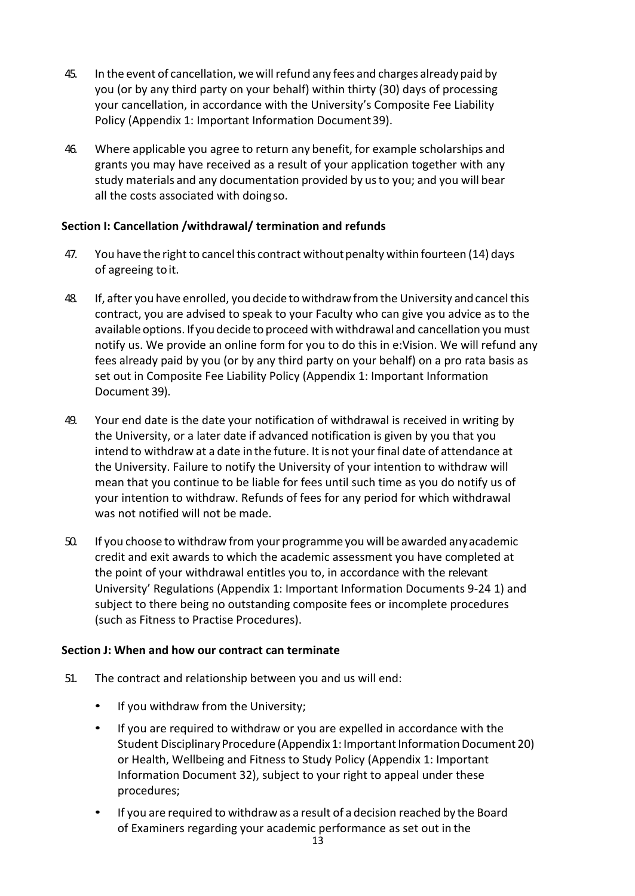- 45. In the event of cancellation, we willrefund any fees and charges alreadypaid by you (or by any third party on your behalf) within thirty (30) days of processing your cancellation, in accordance with the University's Composite Fee Liability Policy (Appendix 1: Important Information Document39).
- 46. Where applicable you agree to return any benefit, for example scholarships and grants you may have received as a result of your application together with any study materials and any documentation provided by usto you; and you will bear all the costs associated with doingso.

# **Section I: Cancellation /withdrawal/ termination and refunds**

- 47. You have the right to cancel this contract without penalty within fourteen (14) days of agreeing toit.
- 48. If, after you have enrolled, you decide to withdrawfromthe University andcancel this contract, you are advised to speak to your Faculty who can give you advice as to the available options. If you decide to proceed with withdrawal and cancellation you must notify us. We provide an online form for you to do this in e:Vision. We will refund any fees already paid by you (or by any third party on your behalf) on a pro rata basis as set out in Composite Fee Liability Policy (Appendix 1: Important Information Document 39).
- 49. Your end date is the date your notification of withdrawal is received in writing by the University, or a later date if advanced notification is given by you that you intend to withdraw at a date in the future. It is not yourfinal date of attendance at the University. Failure to notify the University of your intention to withdraw will mean that you continue to be liable for fees until such time as you do notify us of your intention to withdraw. Refunds of fees for any period for which withdrawal was not notified will not be made.
- 50. If you choose to withdraw from your programme you will be awarded anyacademic credit and exit awards to which the academic assessment you have completed at the point of your withdrawal entitles you to, in accordance with the relevant University' Regulations (Appendix 1: Important Information Documents 9-24 1) and subject to there being no outstanding composite fees or incomplete procedures (such as Fitness to Practise Procedures).

#### **Section J: When and how our contract can terminate**

- 51. The contract and relationship between you and us will end:
	- If you withdraw from the University;
	- If you are required to withdraw or you are expelled in accordance with the Student Disciplinary Procedure (Appendix 1: Important Information Document 20) or Health, Wellbeing and Fitness to Study Policy (Appendix 1: Important Information Document 32), subject to your right to appeal under these procedures;
	- If you are required to withdraw as a result of a decision reached by the Board of Examiners regarding your academic performance as set out in the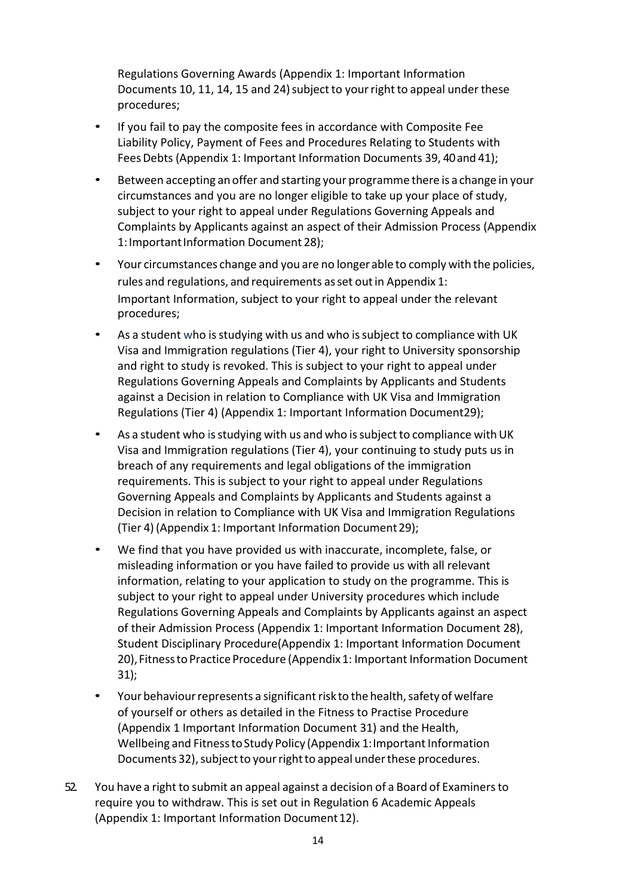Regulations Governing Awards (Appendix 1: Important Information Documents 10, 11, 14, 15 and 24) subject to your right to appeal under these procedures;

- If you fail to pay the composite fees in accordance with Composite Fee Liability Policy, Payment of Fees and Procedures Relating to Students with FeesDebts (Appendix 1: Important Information Documents 39, 40and 41);
- Between accepting an offer and starting your programme there is a change in your circumstances and you are no longer eligible to take up your place of study, subject to your right to appeal under Regulations Governing Appeals and Complaints by Applicants against an aspect of their Admission Process (Appendix 1: Important Information Document 28);
- Your circumstances change and you are no longer able to comply with the policies, rules and regulations, and requirements asset outin Appendix 1: Important Information, subject to your right to appeal under the relevant procedures;
- As a student who isstudying with us and who issubject to compliance with UK Visa and Immigration regulations (Tier 4), your right to University sponsorship and right to study is revoked. This is subject to your right to appeal under Regulations Governing Appeals and Complaints by Applicants and Students against a Decision in relation to Compliance with UK Visa and Immigration Regulations (Tier 4) (Appendix 1: Important Information Document29);
- As a student who is studying with us and who is subject to compliance with UK Visa and Immigration regulations (Tier 4), your continuing to study puts us in breach of any requirements and legal obligations of the immigration requirements. This is subject to your right to appeal under Regulations Governing Appeals and Complaints by Applicants and Students against a Decision in relation to Compliance with UK Visa and Immigration Regulations (Tier 4) (Appendix 1: Important Information Document29);
- We find that you have provided us with inaccurate, incomplete, false, or misleading information or you have failed to provide us with all relevant information, relating to your application to study on the programme. This is subject to your right to appeal under University procedures which include Regulations Governing Appeals and Complaints by Applicants against an aspect of their Admission Process (Appendix 1: Important Information Document 28), Student Disciplinary Procedure(Appendix 1: Important Information Document 20), Fitness to Practice Procedure (Appendix 1: Important Information Document 31);
- Your behaviour represents a significant risk to the health, safety of welfare of yourself or others as detailed in the Fitness to Practise Procedure (Appendix 1 Important Information Document 31) and the Health, Wellbeing and Fitness to Study Policy (Appendix 1: Important Information Documents 32), subject to your right to appeal under these procedures.
- 52. You have a right to submit an appeal against a decision of a Board of Examinersto require you to withdraw. This is set out in Regulation 6 Academic Appeals (Appendix 1: Important Information Document 12).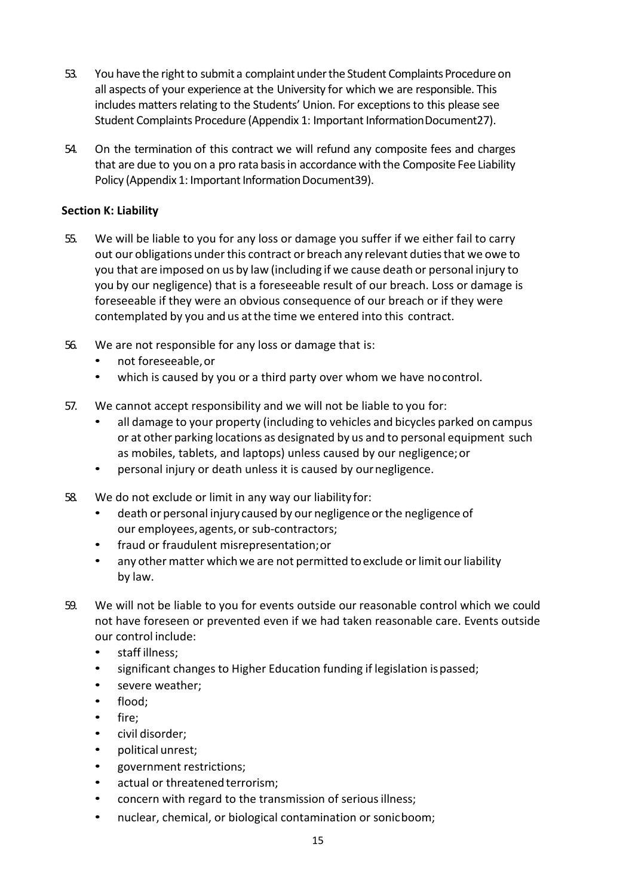- 53. You have the right to submit a complaint under the Student Complaints Procedure on all aspects of your experience at the University for which we are responsible. This includes matters relating to the Students' Union. For exceptions to this please see Student Complaints Procedure (Appendix 1: Important InformationDocument27).
- 54. On the termination of this contract we will refund any composite fees and charges that are due to you on a pro rata basisin accordance with the Composite Fee Liability Policy (Appendix 1: Important Information Document39).

# **Section K: Liability**

- 55. We will be liable to you for any loss or damage you suffer if we either fail to carry out our obligations underthis contract or breach any relevant dutiesthat we owe to you that are imposed on us by law (including if we cause death or personal injury to you by our negligence) that is a foreseeable result of our breach. Loss or damage is foreseeable if they were an obvious consequence of our breach or if they were contemplated by you and us atthe time we entered into this contract.
- 56. We are not responsible for any loss or damage that is:
	- not foreseeable,or
	- which is caused by you or a third party over whom we have nocontrol.
- 57. We cannot accept responsibility and we will not be liable to you for:
	- all damage to your property (including to vehicles and bicycles parked on campus or at other parking locations as designated by us and to personal equipment such as mobiles, tablets, and laptops) unless caused by our negligence;or
	- personal injury or death unless it is caused by ournegligence.
- 58. We do not exclude or limit in any way our liability for:
	- death or personal injury caused by our negligence or the negligence of our employees, agents, or sub-contractors;
	- fraud or fraudulent misrepresentation;or
	- any other matter which we are not permitted to exclude or limit our liability by law.
- 59. We will not be liable to you for events outside our reasonable control which we could not have foreseen or prevented even if we had taken reasonable care. Events outside our control include:
	- staff illness;
	- significant changes to Higher Education funding if legislation ispassed;
	- severe weather;
	- flood;
	- fire;
	- civil disorder;
	- political unrest;
	- government restrictions;
	- actual or threatened terrorism;
	- concern with regard to the transmission of serious illness;
	- nuclear, chemical, or biological contamination or sonicboom;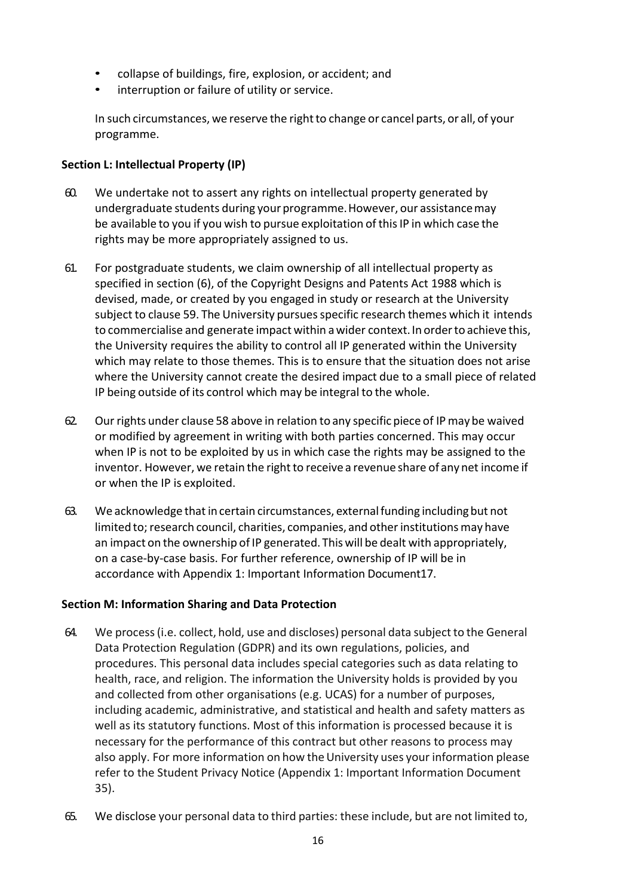- collapse of buildings, fire, explosion, or accident; and
- interruption or failure of utility or service.

In such circumstances, we reserve the right to change or cancel parts, or all, of your programme.

# **Section L: Intellectual Property (IP)**

- 60. We undertake not to assert any rights on intellectual property generated by undergraduate students during yourprogramme.However, our assistancemay be available to you if you wish to pursue exploitation ofthisIP in which case the rights may be more appropriately assigned to us.
- 61. For postgraduate students, we claim ownership of all intellectual property as specified in section (6), of the Copyright Designs and Patents Act 1988 which is devised, made, or created by you engaged in study or research at the University subject to clause 59. The University pursues specific research themes which it intends to commercialise and generate impact within awider context.In orderto achieve this, the University requires the ability to control all IP generated within the University which may relate to those themes. This is to ensure that the situation does not arise where the University cannot create the desired impact due to a small piece of related IP being outside of its control which may be integral to the whole.
- 62. Our rights under clause 58 above in relation to any specific piece of IPmay be waived or modified by agreement in writing with both parties concerned. This may occur when IP is not to be exploited by us in which case the rights may be assigned to the inventor. However, we retain the right to receive a revenue share of any net income if or when the IP is exploited.
- 63. We acknowledge that in certain circumstances, external funding including but not limited to; research council, charities, companies, and other institutions may have an impact on the ownership of IP generated. Thiswill be dealt with appropriately, on a case-by-case basis. For further reference, ownership of IP will be in accordance with Appendix 1: Important Information Document17.

# **Section M: Information Sharing and Data Protection**

- 64. We process(i.e. collect, hold, use and discloses) personal data subject to the General Data Protection Regulation (GDPR) and its own regulations, policies, and procedures. This personal data includes special categories such as data relating to health, race, and religion. The information the University holds is provided by you and collected from other organisations (e.g. UCAS) for a number of purposes, including academic, administrative, and statistical and health and safety matters as well as its statutory functions. Most of this information is processed because it is necessary for the performance of this contract but other reasons to process may also apply. For more information on how the University uses your information please refer to the Student Privacy Notice (Appendix 1: Important Information Document 35).
- 65. We disclose your personal data to third parties: these include, but are not limited to,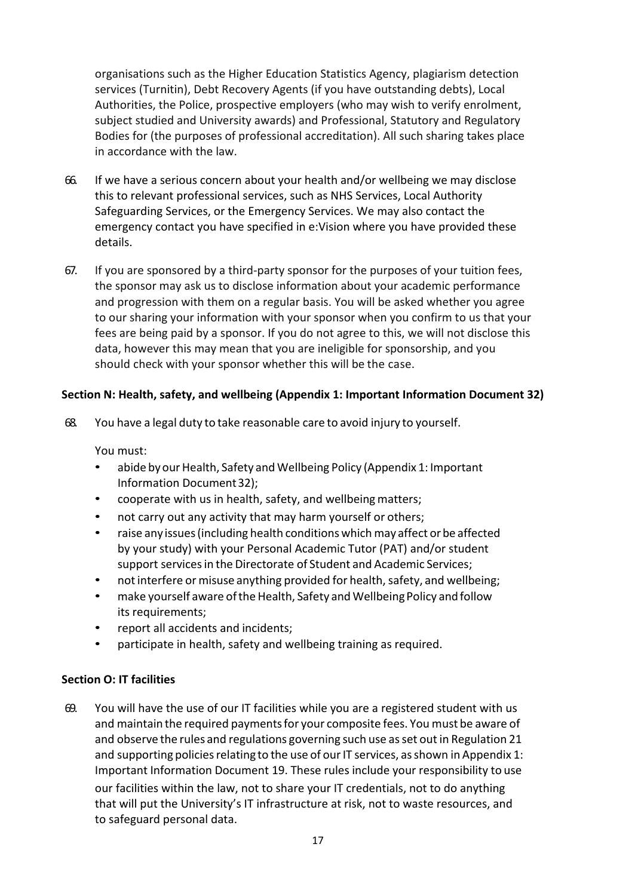organisations such as the Higher Education Statistics Agency, plagiarism detection services (Turnitin), Debt Recovery Agents (if you have outstanding debts), Local Authorities, the Police, prospective employers (who may wish to verify enrolment, subject studied and University awards) and Professional, Statutory and Regulatory Bodies for (the purposes of professional accreditation). All such sharing takes place in accordance with the law.

- 66. If we have a serious concern about your health and/or wellbeing we may disclose this to relevant professional services, such as NHS Services, Local Authority Safeguarding Services, or the Emergency Services. We may also contact the emergency contact you have specified in e:Vision where you have provided these details.
- 67. If you are sponsored by a third-party sponsor for the purposes of your tuition fees, the sponsor may ask us to disclose information about your academic performance and progression with them on a regular basis. You will be asked whether you agree to our sharing your information with your sponsor when you confirm to us that your fees are being paid by a sponsor. If you do not agree to this, we will not disclose this data, however this may mean that you are ineligible for sponsorship, and you should check with your sponsor whether this will be the case.

# **Section N: Health, safety, and wellbeing (Appendix 1: Important Information Document 32)**

68. You have a legal duty to take reasonable care to avoid injury to yourself.

You must:

- abide by our Health, Safety and Wellbeing Policy (Appendix 1: Important Information Document32);
- cooperate with us in health, safety, and wellbeing matters;
- not carry out any activity that may harm yourself or others;
- raise any issues (including health conditions which may affect or be affected by your study) with your Personal Academic Tutor (PAT) and/or student support servicesin the Directorate of Student and Academic Services;
- not interfere or misuse anything provided for health, safety, and wellbeing;
- make yourself aware of the Health, Safety and Wellbeing Policy and follow its requirements;
- report all accidents and incidents;
- participate in health, safety and wellbeing training as required.

#### **Section O: IT facilities**

69. You will have the use of our IT facilities while you are a registered student with us and maintain the required paymentsfor your composite fees. You must be aware of and observe the rules and regulations governing such use as set out in Regulation 21 and supporting policies relating to the use of our IT services, as shown in Appendix 1: Important Information Document 19. These rules include your responsibility to use our facilities within the law, not to share your IT credentials, not to do anything that will put the University's IT infrastructure at risk, not to waste resources, and to safeguard personal data.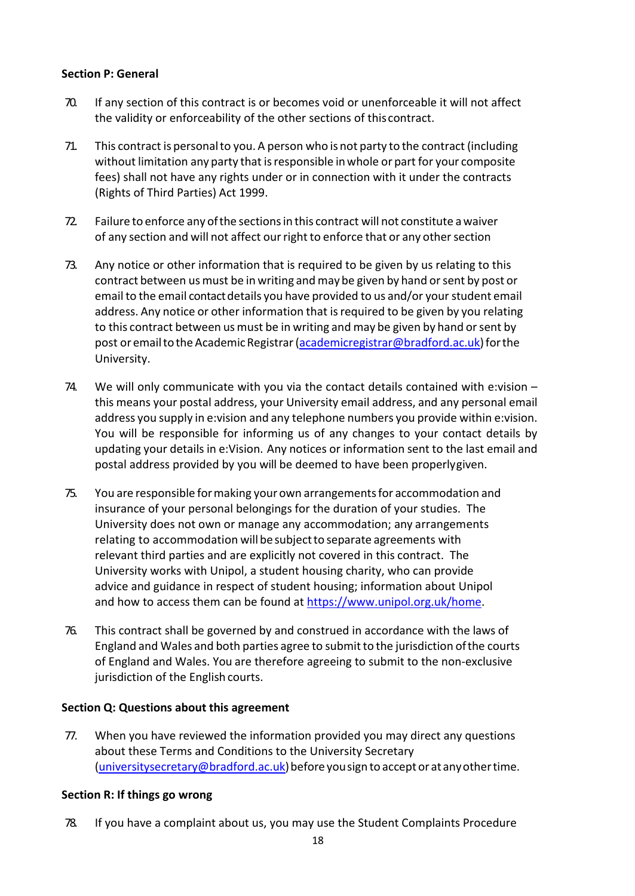# **Section P: General**

- 70. If any section of this contract is or becomes void or unenforceable it will not affect the validity or enforceability of the other sections of this contract.
- 71. This contract is personalto you. A person who is not party to the contract (including without limitation any party that isresponsible inwhole or part for your composite fees) shall not have any rights under or in connection with it under the contracts (Rights of Third Parties) Act 1999.
- 72. Failure to enforce any ofthe sectionsin this contract will not constitute awaiver of any section and will not affect our right to enforce that or any other section
- 73. Any notice or other information that is required to be given by us relating to this contract between us must be in writing and may be given by hand or sent by post or email to the email contact details you have provided to us and/or your student email address. Any notice or other information that is required to be given by you relating to this contract between us must be in writing and may be given by hand or sent by post or email to the Academic Registrar [\(academicregistrar@bradford.ac.uk\)](mailto:academicregistrar@bradford.ac.uk) for the University.
- 74. We will only communicate with you via the contact details contained with e:vision this means your postal address, your University email address, and any personal email address you supply in e:vision and any telephone numbers you provide within e:vision. You will be responsible for informing us of any changes to your contact details by updating your details in e:Vision. Any notices or information sent to the last email and postal address provided by you will be deemed to have been properlygiven.
- 75. You are responsible formaking yourown arrangementsfor accommodation and insurance of your personal belongings for the duration of your studies. The University does not own or manage any accommodation; any arrangements relating to accommodation will be subject to separate agreements with relevant third parties and are explicitly not covered in this contract. The University works with Unipol, a student housing charity, who can provide advice and guidance in respect of student housing; information about Unipol and how to access them can be found at [https://www.unipol.org.uk/home.](https://www.unipol.org.uk/home)
- 76. This contract shall be governed by and construed in accordance with the laws of England and Wales and both parties agree to submit to the jurisdiction of the courts of England and Wales. You are therefore agreeing to submit to the non-exclusive jurisdiction of the English courts.

#### **Section Q: Questions about this agreement**

77. When you have reviewed the information provided you may direct any questions about these Terms and Conditions to the University Secretary (university secretary  $@$  bradford.ac.uk) before you sign to accept or at any other time.

# **Section R: If things go wrong**

78. If you have a complaint about us, you may use the Student Complaints Procedure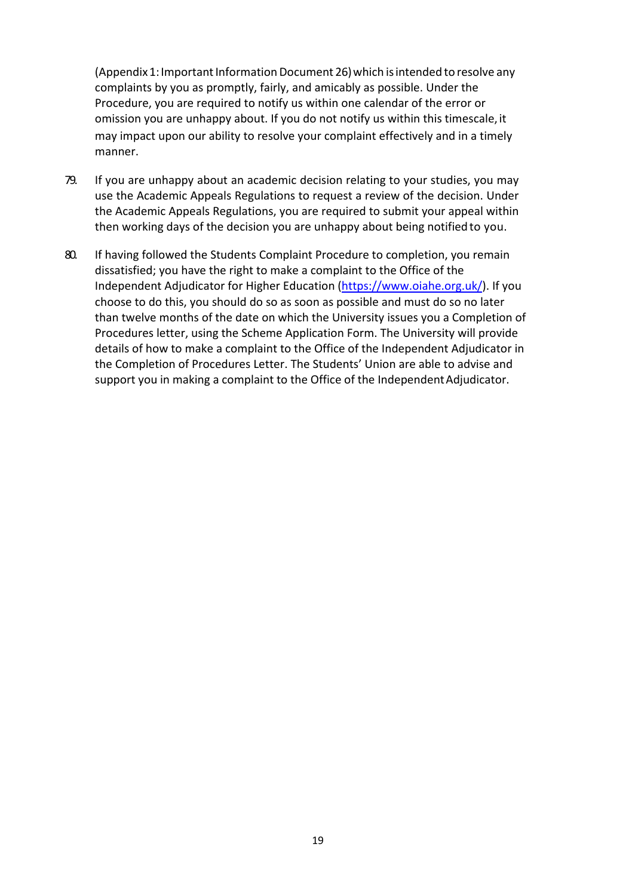(Appendix 1: Important Information Document 26) which is intended to resolve any complaints by you as promptly, fairly, and amicably as possible. Under the Procedure, you are required to notify us within one calendar of the error or omission you are unhappy about. If you do not notify us within this timescale,it may impact upon our ability to resolve your complaint effectively and in a timely manner.

- 79. If you are unhappy about an academic decision relating to your studies, you may use the Academic Appeals Regulations to request a review of the decision. Under the Academic Appeals Regulations, you are required to submit your appeal within then working days of the decision you are unhappy about being notifiedto you.
- 80. If having followed the Students Complaint Procedure to completion, you remain dissatisfied; you have the right to make a complaint to the Office of the Independent Adjudicator for Higher Education [\(https://www.oiahe.org.uk/\)](https://www.oiahe.org.uk/). If you choose to do this, you should do so as soon as possible and must do so no later than twelve months of the date on which the University issues you a Completion of Procedures letter, using the Scheme Application Form. The University will provide details of how to make a complaint to the Office of the Independent Adjudicator in the Completion of Procedures Letter. The Students' Union are able to advise and support you in making a complaint to the Office of the Independent Adjudicator.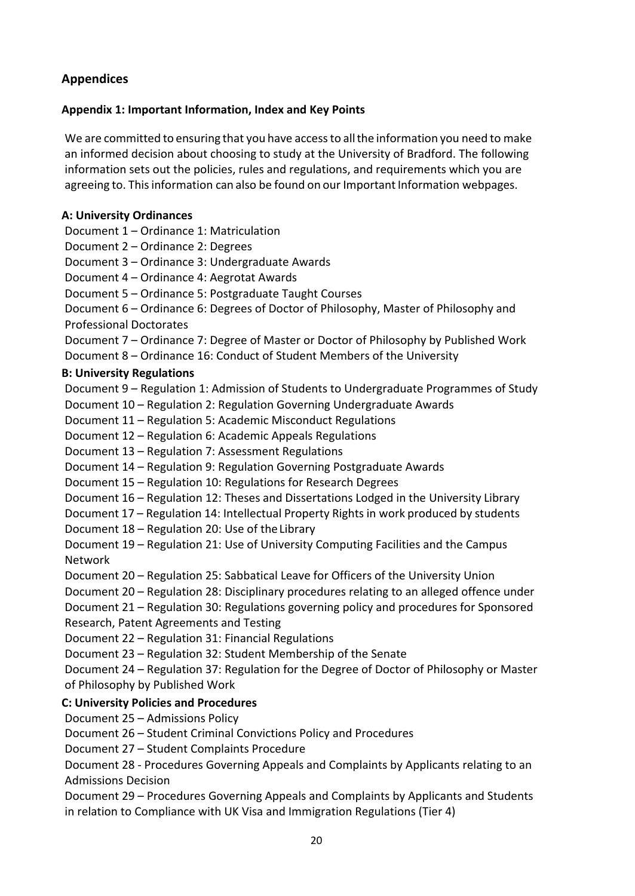# **Appendices**

# **Appendix 1: Important Information, Index and Key Points**

We are committed to ensuring that you have access to all the information you need to make an informed decision about choosing to study at the University of Bradford. The following information sets out the policies, rules and regulations, and requirements which you are agreeing to. This information can also be found on our Important Information webpages.

#### **A: University Ordinances**

Document 1 – Ordinance 1: Matriculation

Document 2 – Ordinance 2: Degrees

Document 3 – Ordinance 3: Undergraduate Awards

Document 4 – Ordinance 4: Aegrotat Awards

Document 5 – Ordinance 5: Postgraduate Taught Courses

Document 6 – Ordinance 6: Degrees of Doctor of Philosophy, Master of Philosophy and Professional Doctorates

Document 7 – Ordinance 7: Degree of Master or Doctor of Philosophy by Published Work

Document 8 – Ordinance 16: Conduct of Student Members of the University

# **B: University Regulations**

Document 9 – Regulation 1: Admission of Students to Undergraduate Programmes of Study

Document 10 – Regulation 2: Regulation Governing Undergraduate Awards

Document 11 – Regulation 5: Academic Misconduct Regulations

Document 12 – Regulation 6: Academic Appeals Regulations

Document 13 – Regulation 7: Assessment Regulations

- Document 14 Regulation 9: Regulation Governing Postgraduate Awards
- Document 15 Regulation 10: Regulations for Research Degrees

Document 16 – Regulation 12: Theses and Dissertations Lodged in the University Library

Document 17 – Regulation 14: Intellectual Property Rights in work produced by students

Document 18 – Regulation 20: Use of theLibrary

Document 19 – Regulation 21: Use of University Computing Facilities and the Campus Network

Document 20 – Regulation 25: Sabbatical Leave for Officers of the University Union

Document 20 – Regulation 28: Disciplinary procedures relating to an alleged offence under

Document 21 – Regulation 30: Regulations governing policy and procedures for Sponsored Research, Patent Agreements and Testing

Document 22 – Regulation 31: Financial Regulations

Document 23 – Regulation 32: Student Membership of the Senate

Document 24 – Regulation 37: Regulation for the Degree of Doctor of Philosophy or Master of Philosophy by Published Work

# **C: University Policies and Procedures**

Document 25 – Admissions Policy

Document 26 – Student Criminal Convictions Policy and Procedures

Document 27 – Student Complaints Procedure

Document 28 - Procedures Governing Appeals and Complaints by Applicants relating to an Admissions Decision

Document 29 – Procedures Governing Appeals and Complaints by Applicants and Students in relation to Compliance with UK Visa and Immigration Regulations (Tier 4)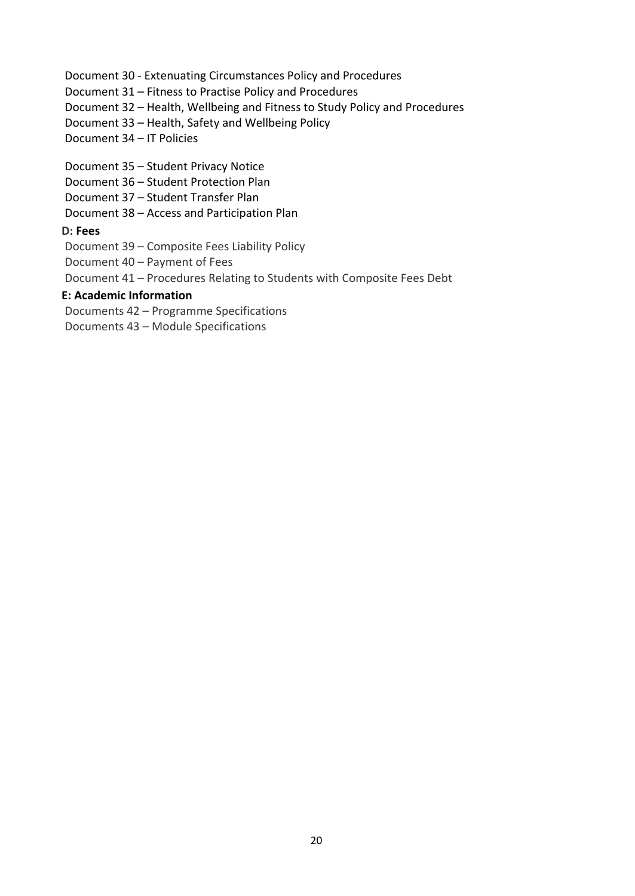#### Document 30 - Extenuating Circumstances Policy and Procedures

- Document 31 Fitness to Practise Policy and Procedures
- Document 32 Health, Wellbeing and Fitness to Study Policy and Procedures
- Document 33 Health, Safety and Wellbeing Policy
- Document 34 IT Policies
- Document 35 Student Privacy Notice
- Document 36 Student Protection Plan
- Document 37 Student Transfer Plan
- Document 38 Access and Participation Plan

# **D: Fees**

- Document 39 Composite Fees Liability Policy
- Document 40 Payment of Fees
- Document 41 Procedures Relating to Students with Composite Fees Debt

# **E: Academic Information**

- Documents 42 Programme Specifications
- Documents 43 Module Specifications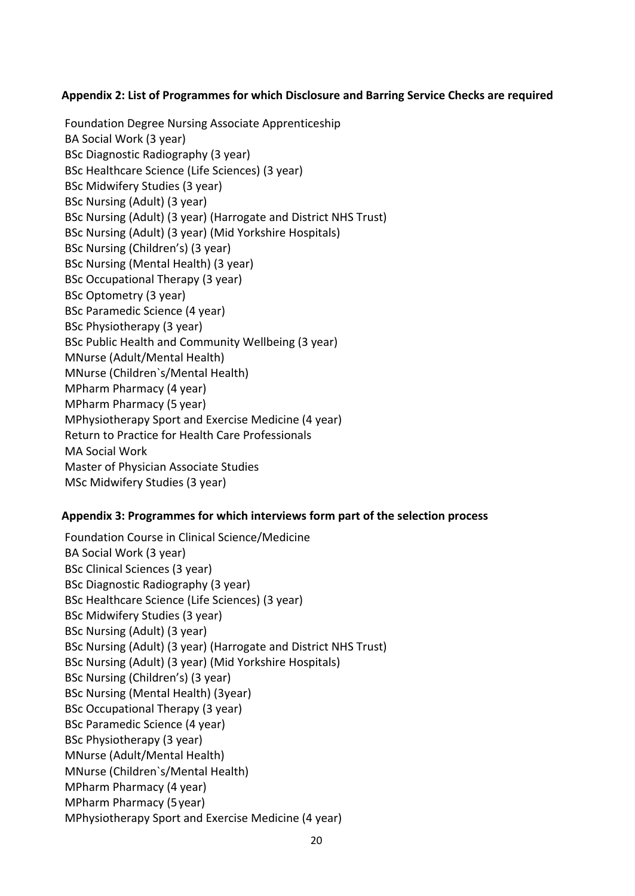# **Appendix 2: List of Programmes for which Disclosure and Barring Service Checks are required**

Foundation Degree Nursing Associate Apprenticeship BA Social Work (3 year) BSc Diagnostic Radiography (3 year) BSc Healthcare Science (Life Sciences) (3 year) BSc Midwifery Studies (3 year) BSc Nursing (Adult) (3 year) BSc Nursing (Adult) (3 year) (Harrogate and District NHS Trust) BSc Nursing (Adult) (3 year) (Mid Yorkshire Hospitals) BSc Nursing (Children's) (3 year) BSc Nursing (Mental Health) (3 year) BSc Occupational Therapy (3 year) BSc Optometry (3 year) BSc Paramedic Science (4 year) BSc Physiotherapy (3 year) BSc Public Health and Community Wellbeing (3 year) MNurse (Adult/Mental Health) MNurse (Children`s/Mental Health) MPharm Pharmacy (4 year) MPharm Pharmacy (5 year) MPhysiotherapy Sport and Exercise Medicine (4 year) Return to Practice for Health Care Professionals MA Social Work Master of Physician Associate Studies MSc Midwifery Studies (3 year)

# **Appendix 3: Programmes for which interviews form part of the selection process**

Foundation Course in Clinical Science/Medicine BA Social Work (3 year) BSc Clinical Sciences (3 year) BSc Diagnostic Radiography (3 year) BSc Healthcare Science (Life Sciences) (3 year) BSc Midwifery Studies (3 year) BSc Nursing (Adult) (3 year) BSc Nursing (Adult) (3 year) (Harrogate and District NHS Trust) BSc Nursing (Adult) (3 year) (Mid Yorkshire Hospitals) BSc Nursing (Children's) (3 year) BSc Nursing (Mental Health) (3year) BSc Occupational Therapy (3 year) BSc Paramedic Science (4 year) BSc Physiotherapy (3 year) MNurse (Adult/Mental Health) MNurse (Children`s/Mental Health) MPharm Pharmacy (4 year) MPharm Pharmacy (5year) MPhysiotherapy Sport and Exercise Medicine (4 year)